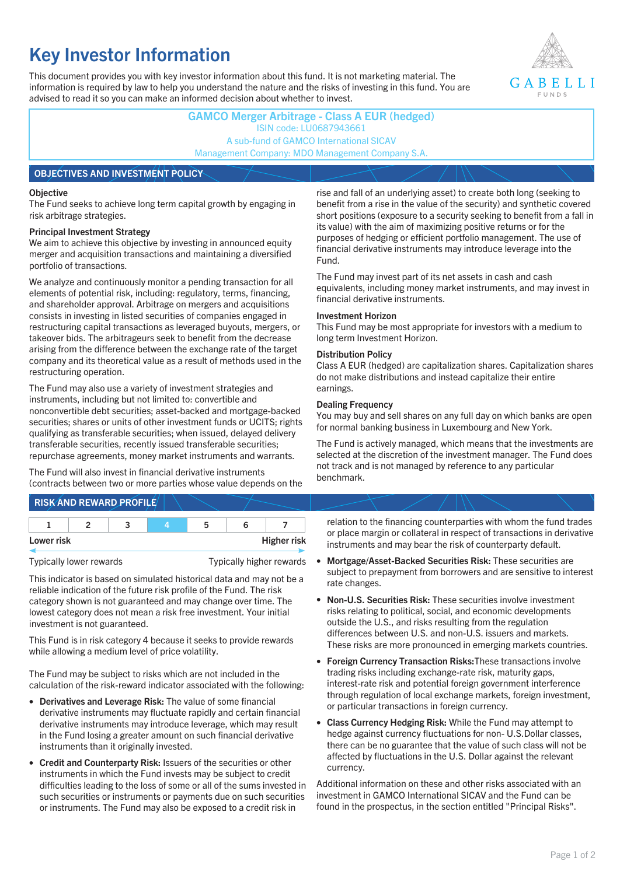# **Key Investor Information**

This document provides you with key investor information about this fund. It is not marketing material. The information is required by law to help you understand the nature and the risks of investing in this fund. You are advised to read it so you can make an informed decision about whether to invest.



**GAMCO Merger Arbitrage - Class A EUR (hedged)** ISIN code: LU0687943661 A sub-fund of GAMCO International SICAV Management Company: MDO Management Company S.A. **OBJECTIVES AND INVESTMENT POLICY**

#### **Objective**

The Fund seeks to achieve long term capital growth by engaging in risk arbitrage strategies.

### **Principal Investment Strategy**

We aim to achieve this objective by investing in announced equity merger and acquisition transactions and maintaining a diversified portfolio of transactions.

We analyze and continuously monitor a pending transaction for all elements of potential risk, including: regulatory, terms, financing, and shareholder approval. Arbitrage on mergers and acquisitions consists in investing in listed securities of companies engaged in restructuring capital transactions as leveraged buyouts, mergers, or takeover bids. The arbitrageurs seek to benefit from the decrease arising from the difference between the exchange rate of the target company and its theoretical value as a result of methods used in the restructuring operation.

The Fund may also use a variety of investment strategies and instruments, including but not limited to: convertible and nonconvertible debt securities; asset-backed and mortgage-backed securities; shares or units of other investment funds or UCITS; rights qualifying as transferable securities; when issued, delayed delivery transferable securities, recently issued transferable securities; repurchase agreements, money market instruments and warrants.

The Fund will also invest in financial derivative instruments (contracts between two or more parties whose value depends on the

**RISK AND REWARD PROFILE**

| Lower risk |  |  | <b>Higher risk</b> |
|------------|--|--|--------------------|

Typically lower rewards Typically higher rewards

This indicator is based on simulated historical data and may not be a reliable indication of the future risk profile of the Fund. The risk category shown is not guaranteed and may change over time. The lowest category does not mean a risk free investment. Your initial investment is not guaranteed.

This Fund is in risk category 4 because it seeks to provide rewards while allowing a medium level of price volatility.

The Fund may be subject to risks which are not included in the calculation of the risk-reward indicator associated with the following:

- **Derivatives and Leverage Risk:** The value of some financial derivative instruments may fluctuate rapidly and certain financial derivative instruments may introduce leverage, which may result in the Fund losing a greater amount on such financial derivative instruments than it originally invested.
- **Credit and Counterparty Risk:** Issuers of the securities or other instruments in which the Fund invests may be subject to credit difficulties leading to the loss of some or all of the sums invested in such securities or instruments or payments due on such securities or instruments. The Fund may also be exposed to a credit risk in

rise and fall of an underlying asset) to create both long (seeking to benefit from a rise in the value of the security) and synthetic covered short positions (exposure to a security seeking to benefit from a fall in its value) with the aim of maximizing positive returns or for the purposes of hedging or efficient portfolio management. The use of financial derivative instruments may introduce leverage into the Fund.

The Fund may invest part of its net assets in cash and cash equivalents, including money market instruments, and may invest in financial derivative instruments.

### **Investment Horizon**

This Fund may be most appropriate for investors with a medium to long term Investment Horizon.

### **Distribution Policy**

Class A EUR (hedged) are capitalization shares. Capitalization shares do not make distributions and instead capitalize their entire earnings.

### **Dealing Frequency**

You may buy and sell shares on any full day on which banks are open for normal banking business in Luxembourg and New York.

The Fund is actively managed, which means that the investments are selected at the discretion of the investment manager. The Fund does not track and is not managed by reference to any particular benchmark.

relation to the financing counterparties with whom the fund trades or place margin or collateral in respect of transactions in derivative instruments and may bear the risk of counterparty default.

- **Mortgage/Asset-Backed Securities Risk:** These securities are subject to prepayment from borrowers and are sensitive to interest rate changes.
- **Non-U.S. Securities Risk:** These securities involve investment risks relating to political, social, and economic developments outside the U.S., and risks resulting from the regulation differences between U.S. and non-U.S. issuers and markets. These risks are more pronounced in emerging markets countries.
- **Foreign Currency Transaction Risks:**These transactions involve trading risks including exchange-rate risk, maturity gaps, interest-rate risk and potential foreign government interference through regulation of local exchange markets, foreign investment, or particular transactions in foreign currency.
- **Class Currency Hedging Risk:** While the Fund may attempt to hedge against currency fluctuations for non- U.S.Dollar classes, there can be no guarantee that the value of such class will not be affected by fluctuations in the U.S. Dollar against the relevant currency.

Additional information on these and other risks associated with an investment in GAMCO International SICAV and the Fund can be found in the prospectus, in the section entitled "Principal Risks".